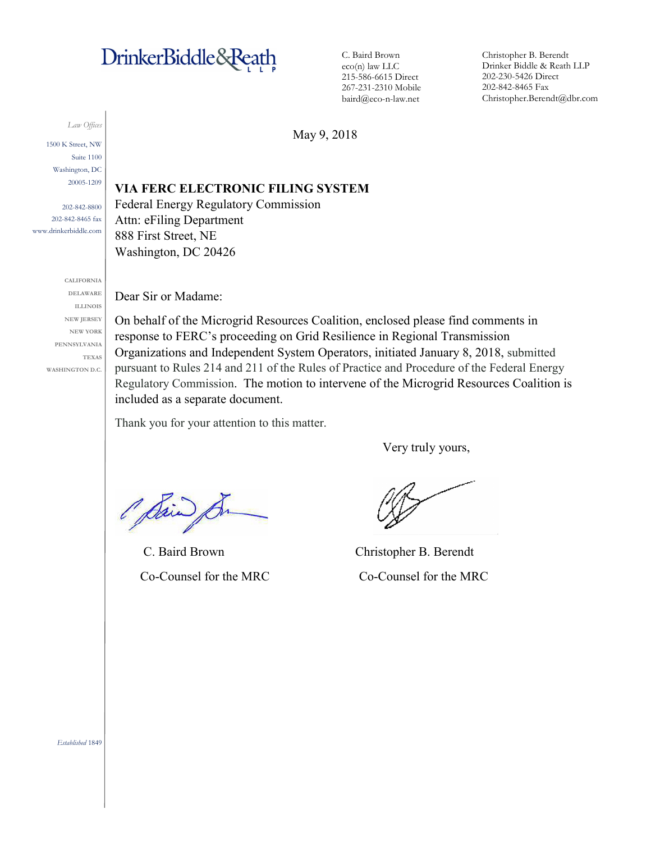# DrinkerBiddle&Reath

C. Baird Brown eco(n) law LLC 215-586-6615 Direct 267-231-2310 Mobile baird@eco-n-law.net

Christopher B. Berendt Drinker Biddle & Reath LLP 202-230-5426 Direct 202-842-8465 Fax Christopher.Berendt@dbr.com

*Law Offices*

1500 K Street, NW Suite 1100 Washington, DC 20005-1209

202-842-8800 202-842-8465 fax www.drinkerbiddle.com

> **CALIFORNIA DELAWARE ILLINOIS NEW JERSEY NEW YORK PENNSYLVANIA TEXAS WASHINGTON D.C.**

May 9, 2018

## **VIA FERC ELECTRONIC FILING SYSTEM**

Federal Energy Regulatory Commission Attn: eFiling Department 888 First Street, NE Washington, DC 20426

Dear Sir or Madame:

On behalf of the Microgrid Resources Coalition, enclosed please find comments in response to FERC's proceeding on Grid Resilience in Regional Transmission Organizations and Independent System Operators, initiated January 8, 2018, submitted pursuant to Rules 214 and 211 of the Rules of Practice and Procedure of the Federal Energy Regulatory Commission. The motion to intervene of the Microgrid Resources Coalition is included as a separate document.

Thank you for your attention to this matter.

Very truly yours,

O Sain

C. Baird Brown Christopher B. Berendt

Co-Counsel for the MRC Co-Counsel for the MRC

*Established* 1849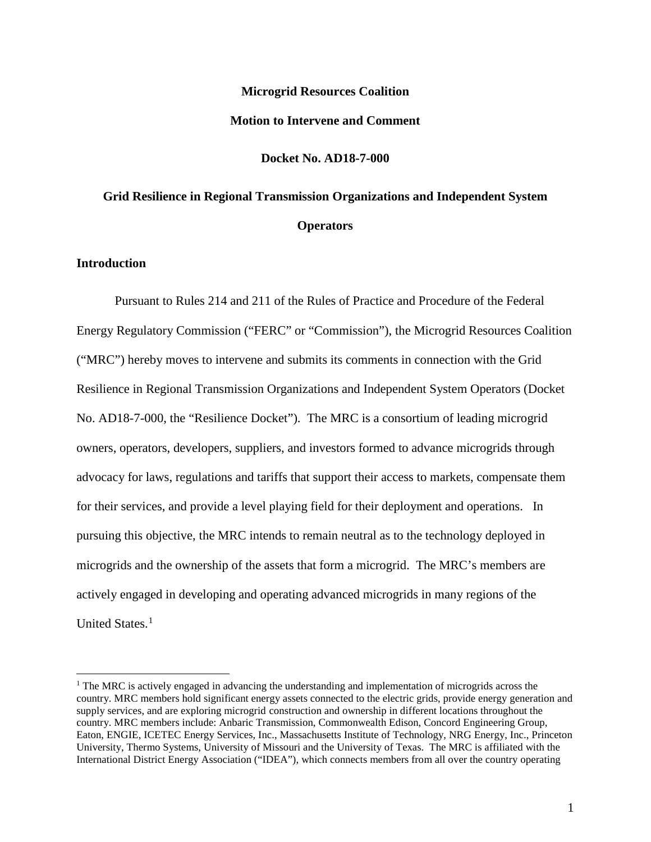## **Microgrid Resources Coalition Motion to Intervene and Comment**

## **Docket No. AD18-7-000**

## **Grid Resilience in Regional Transmission Organizations and Independent System Operators**

## **Introduction**

Pursuant to Rules 214 and 211 of the Rules of Practice and Procedure of the Federal Energy Regulatory Commission ("FERC" or "Commission"), the Microgrid Resources Coalition ("MRC") hereby moves to intervene and submits its comments in connection with the Grid Resilience in Regional Transmission Organizations and Independent System Operators (Docket No. AD18-7-000, the "Resilience Docket"). The MRC is a consortium of leading microgrid owners, operators, developers, suppliers, and investors formed to advance microgrids through advocacy for laws, regulations and tariffs that support their access to markets, compensate them for their services, and provide a level playing field for their deployment and operations. In pursuing this objective, the MRC intends to remain neutral as to the technology deployed in microgrids and the ownership of the assets that form a microgrid. The MRC's members are actively engaged in developing and operating advanced microgrids in many regions of the United States.<sup>[1](#page-1-0)</sup>

<span id="page-1-0"></span> $<sup>1</sup>$  The MRC is actively engaged in advancing the understanding and implementation of microgrids across the</sup> country. MRC members hold significant energy assets connected to the electric grids, provide energy generation and supply services, and are exploring microgrid construction and ownership in different locations throughout the country. MRC members include: Anbaric Transmission, Commonwealth Edison, Concord Engineering Group, Eaton, ENGIE, ICETEC Energy Services, Inc., Massachusetts Institute of Technology, NRG Energy, Inc., Princeton University, Thermo Systems, University of Missouri and the University of Texas. The MRC is affiliated with the International District Energy Association ("IDEA"), which connects members from all over the country operating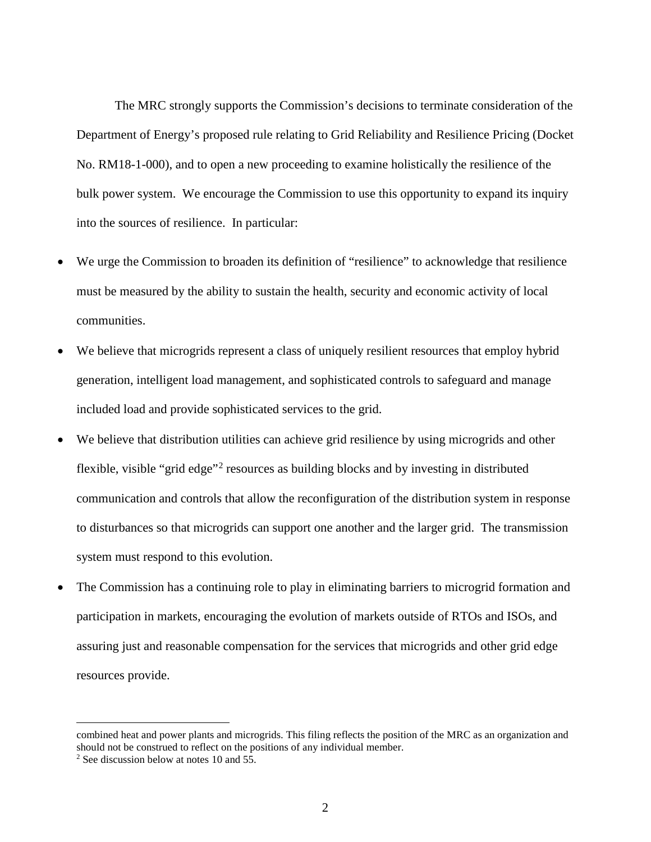The MRC strongly supports the Commission's decisions to terminate consideration of the Department of Energy's proposed rule relating to Grid Reliability and Resilience Pricing (Docket No. RM18-1-000), and to open a new proceeding to examine holistically the resilience of the bulk power system. We encourage the Commission to use this opportunity to expand its inquiry into the sources of resilience. In particular:

- We urge the Commission to broaden its definition of "resilience" to acknowledge that resilience must be measured by the ability to sustain the health, security and economic activity of local communities.
- We believe that microgrids represent a class of uniquely resilient resources that employ hybrid generation, intelligent load management, and sophisticated controls to safeguard and manage included load and provide sophisticated services to the grid.
- We believe that distribution utilities can achieve grid resilience by using microgrids and other flexible, visible "grid edge"[2](#page-2-0) resources as building blocks and by investing in distributed communication and controls that allow the reconfiguration of the distribution system in response to disturbances so that microgrids can support one another and the larger grid. The transmission system must respond to this evolution.
- The Commission has a continuing role to play in eliminating barriers to microgrid formation and participation in markets, encouraging the evolution of markets outside of RTOs and ISOs, and assuring just and reasonable compensation for the services that microgrids and other grid edge resources provide.

combined heat and power plants and microgrids. This filing reflects the position of the MRC as an organization and should not be construed to reflect on the positions of any individual member.<br><sup>2</sup> See discussion below at notes 10 and 55.

<span id="page-2-0"></span>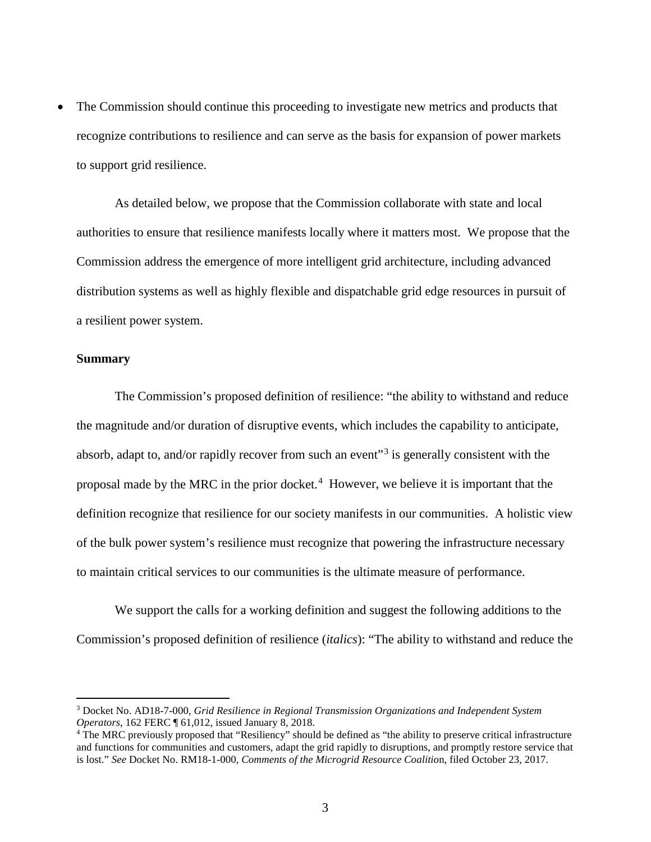• The Commission should continue this proceeding to investigate new metrics and products that recognize contributions to resilience and can serve as the basis for expansion of power markets to support grid resilience.

As detailed below, we propose that the Commission collaborate with state and local authorities to ensure that resilience manifests locally where it matters most. We propose that the Commission address the emergence of more intelligent grid architecture, including advanced distribution systems as well as highly flexible and dispatchable grid edge resources in pursuit of a resilient power system.

#### **Summary**

The Commission's proposed definition of resilience: "the ability to withstand and reduce the magnitude and/or duration of disruptive events, which includes the capability to anticipate, absorb, adapt to, and/or rapidly recover from such an event<sup>[3](#page-3-0)3</sup> is generally consistent with the proposal made by the MRC in the prior docket.[4](#page-3-1) However, we believe it is important that the definition recognize that resilience for our society manifests in our communities. A holistic view of the bulk power system's resilience must recognize that powering the infrastructure necessary to maintain critical services to our communities is the ultimate measure of performance.

We support the calls for a working definition and suggest the following additions to the Commission's proposed definition of resilience (*italics*): "The ability to withstand and reduce the

<span id="page-3-0"></span> <sup>3</sup> Docket No. AD18-7-000, *Grid Resilience in Regional Transmission Organizations and Independent System Operators*, 162 FERC ¶ 61,012, issued January 8, 2018.<br><sup>4</sup> The MRC previously proposed that "Resiliency" should be defined as "the ability to preserve critical infrastructure

<span id="page-3-1"></span>and functions for communities and customers, adapt the grid rapidly to disruptions, and promptly restore service that is lost." *See* Docket No. RM18-1-000, *Comments of the Microgrid Resource Coalitio*n, filed October 23, 2017.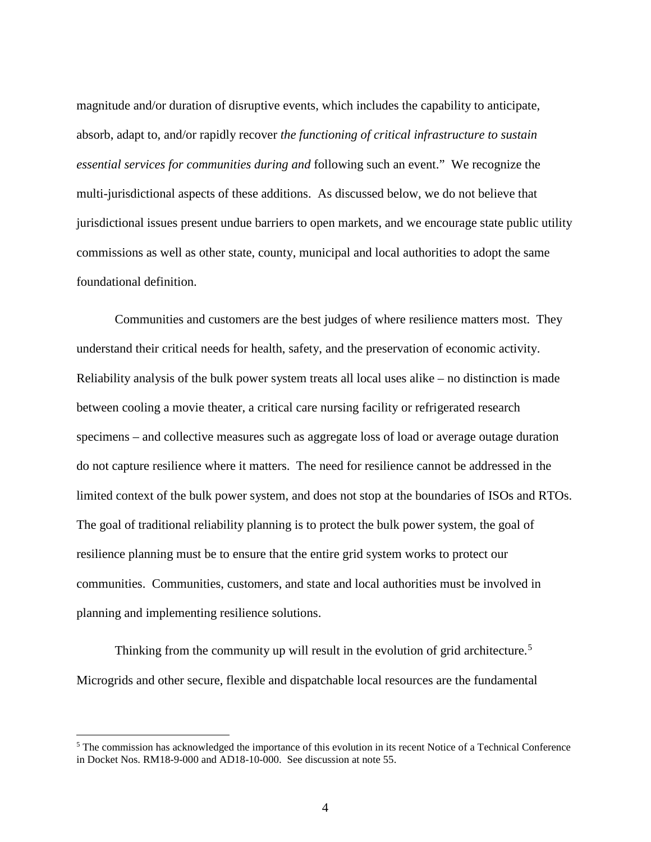magnitude and/or duration of disruptive events, which includes the capability to anticipate, absorb, adapt to, and/or rapidly recover *the functioning of critical infrastructure to sustain essential services for communities during and* following such an event." We recognize the multi-jurisdictional aspects of these additions. As discussed below, we do not believe that jurisdictional issues present undue barriers to open markets, and we encourage state public utility commissions as well as other state, county, municipal and local authorities to adopt the same foundational definition.

Communities and customers are the best judges of where resilience matters most. They understand their critical needs for health, safety, and the preservation of economic activity. Reliability analysis of the bulk power system treats all local uses alike – no distinction is made between cooling a movie theater, a critical care nursing facility or refrigerated research specimens – and collective measures such as aggregate loss of load or average outage duration do not capture resilience where it matters. The need for resilience cannot be addressed in the limited context of the bulk power system, and does not stop at the boundaries of ISOs and RTOs. The goal of traditional reliability planning is to protect the bulk power system, the goal of resilience planning must be to ensure that the entire grid system works to protect our communities. Communities, customers, and state and local authorities must be involved in planning and implementing resilience solutions.

Thinking from the community up will result in the evolution of grid architecture.<sup>[5](#page-4-0)</sup> Microgrids and other secure, flexible and dispatchable local resources are the fundamental

<span id="page-4-0"></span><sup>&</sup>lt;sup>5</sup> The commission has acknowledged the importance of this evolution in its recent Notice of a Technical Conference in Docket Nos. RM18-9-000 and AD18-10-000. See discussion at note 55.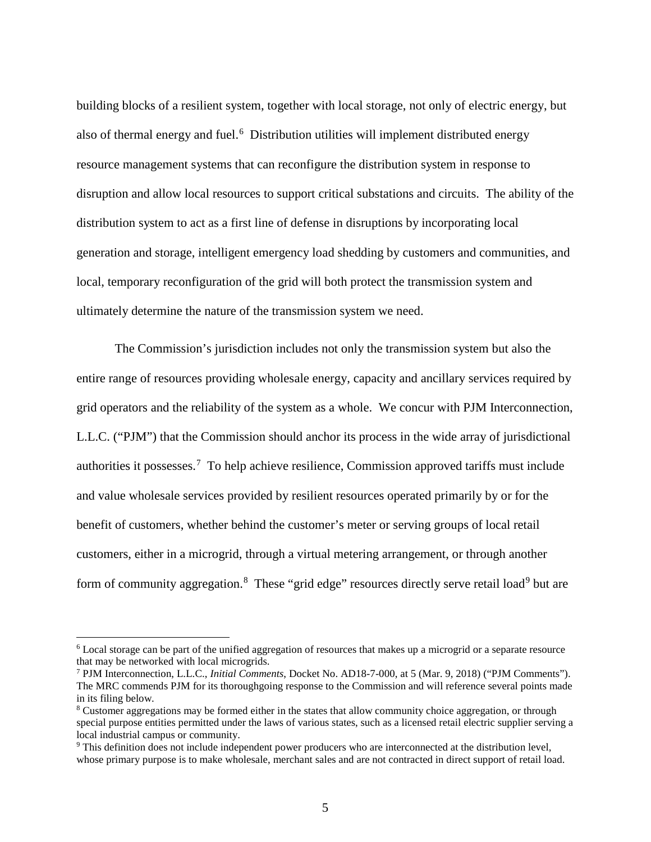building blocks of a resilient system, together with local storage, not only of electric energy, but also of thermal energy and fuel.<sup>[6](#page-5-0)</sup> Distribution utilities will implement distributed energy resource management systems that can reconfigure the distribution system in response to disruption and allow local resources to support critical substations and circuits. The ability of the distribution system to act as a first line of defense in disruptions by incorporating local generation and storage, intelligent emergency load shedding by customers and communities, and local, temporary reconfiguration of the grid will both protect the transmission system and ultimately determine the nature of the transmission system we need.

The Commission's jurisdiction includes not only the transmission system but also the entire range of resources providing wholesale energy, capacity and ancillary services required by grid operators and the reliability of the system as a whole. We concur with PJM Interconnection, L.L.C. ("PJM") that the Commission should anchor its process in the wide array of jurisdictional authorities it possesses.<sup>[7](#page-5-1)</sup> To help achieve resilience, Commission approved tariffs must include and value wholesale services provided by resilient resources operated primarily by or for the benefit of customers, whether behind the customer's meter or serving groups of local retail customers, either in a microgrid, through a virtual metering arrangement, or through another form of community aggregation.<sup>[8](#page-5-2)</sup> These "grid edge" resources directly serve retail load<sup>[9](#page-5-3)</sup> but are

<span id="page-5-0"></span> <sup>6</sup> Local storage can be part of the unified aggregation of resources that makes up a microgrid or a separate resource that may be networked with local microgrids.

<span id="page-5-1"></span><sup>7</sup> PJM Interconnection, L.L.C., *Initial Comments*, Docket No. AD18-7-000, at 5 (Mar. 9, 2018) ("PJM Comments"). The MRC commends PJM for its thoroughgoing response to the Commission and will reference several points made in its filing below.

<span id="page-5-2"></span><sup>8</sup> Customer aggregations may be formed either in the states that allow community choice aggregation, or through special purpose entities permitted under the laws of various states, such as a licensed retail electric supplier serving a local industrial campus or community.

<span id="page-5-3"></span><sup>9</sup> This definition does not include independent power producers who are interconnected at the distribution level, whose primary purpose is to make wholesale, merchant sales and are not contracted in direct support of retail load.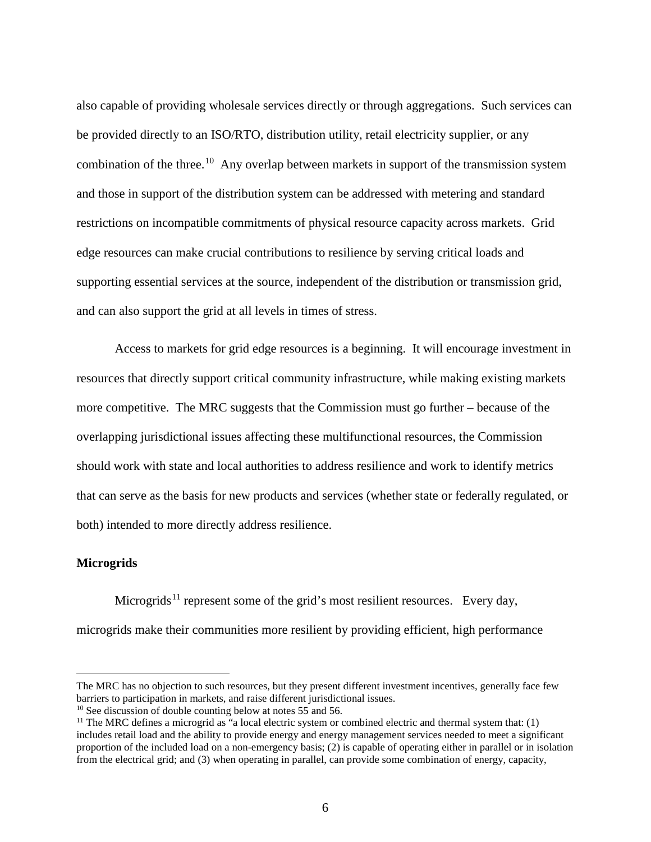also capable of providing wholesale services directly or through aggregations. Such services can be provided directly to an ISO/RTO, distribution utility, retail electricity supplier, or any combination of the three.<sup>[10](#page-6-0)</sup> Any overlap between markets in support of the transmission system and those in support of the distribution system can be addressed with metering and standard restrictions on incompatible commitments of physical resource capacity across markets. Grid edge resources can make crucial contributions to resilience by serving critical loads and supporting essential services at the source, independent of the distribution or transmission grid, and can also support the grid at all levels in times of stress.

Access to markets for grid edge resources is a beginning. It will encourage investment in resources that directly support critical community infrastructure, while making existing markets more competitive. The MRC suggests that the Commission must go further – because of the overlapping jurisdictional issues affecting these multifunctional resources, the Commission should work with state and local authorities to address resilience and work to identify metrics that can serve as the basis for new products and services (whether state or federally regulated, or both) intended to more directly address resilience.

#### **Microgrids**

 $\overline{a}$ 

Microgrids<sup>[11](#page-6-1)</sup> represent some of the grid's most resilient resources. Every day, microgrids make their communities more resilient by providing efficient, high performance

The MRC has no objection to such resources, but they present different investment incentives, generally face few barriers to participation in markets, and raise different jurisdictional issues.

<span id="page-6-0"></span> $10$  See discussion of double counting below at notes 55 and 56.

<span id="page-6-1"></span> $11$  The MRC defines a microgrid as "a local electric system or combined electric and thermal system that: (1) includes retail load and the ability to provide energy and energy management services needed to meet a significant proportion of the included load on a non-emergency basis; (2) is capable of operating either in parallel or in isolation from the electrical grid; and (3) when operating in parallel, can provide some combination of energy, capacity,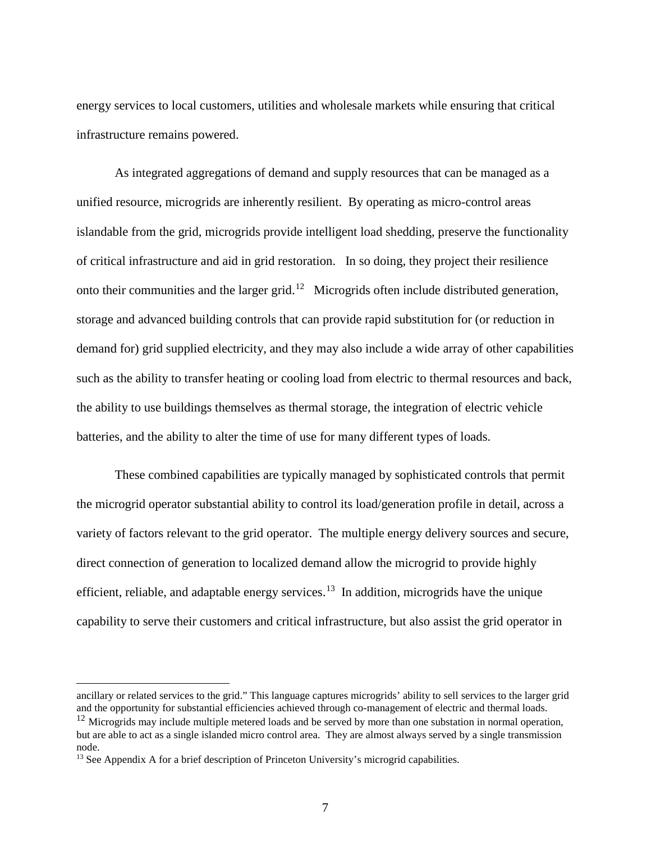energy services to local customers, utilities and wholesale markets while ensuring that critical infrastructure remains powered.

As integrated aggregations of demand and supply resources that can be managed as a unified resource, microgrids are inherently resilient. By operating as micro-control areas islandable from the grid, microgrids provide intelligent load shedding, preserve the functionality of critical infrastructure and aid in grid restoration. In so doing, they project their resilience onto their communities and the larger grid.<sup>[12](#page-7-0)</sup> Microgrids often include distributed generation, storage and advanced building controls that can provide rapid substitution for (or reduction in demand for) grid supplied electricity, and they may also include a wide array of other capabilities such as the ability to transfer heating or cooling load from electric to thermal resources and back, the ability to use buildings themselves as thermal storage, the integration of electric vehicle batteries, and the ability to alter the time of use for many different types of loads.

These combined capabilities are typically managed by sophisticated controls that permit the microgrid operator substantial ability to control its load/generation profile in detail, across a variety of factors relevant to the grid operator. The multiple energy delivery sources and secure, direct connection of generation to localized demand allow the microgrid to provide highly efficient, reliable, and adaptable energy services.<sup>[13](#page-7-1)</sup> In addition, microgrids have the unique capability to serve their customers and critical infrastructure, but also assist the grid operator in

 $\overline{a}$ 

ancillary or related services to the grid." This language captures microgrids' ability to sell services to the larger grid and the opportunity for substantial efficiencies achieved through co-management of electric and thermal loads.

<span id="page-7-0"></span> $12$  Microgrids may include multiple metered loads and be served by more than one substation in normal operation, but are able to act as a single islanded micro control area. They are almost always served by a single transmission node.

<span id="page-7-1"></span><sup>&</sup>lt;sup>13</sup> See Appendix A for a brief description of Princeton University's microgrid capabilities.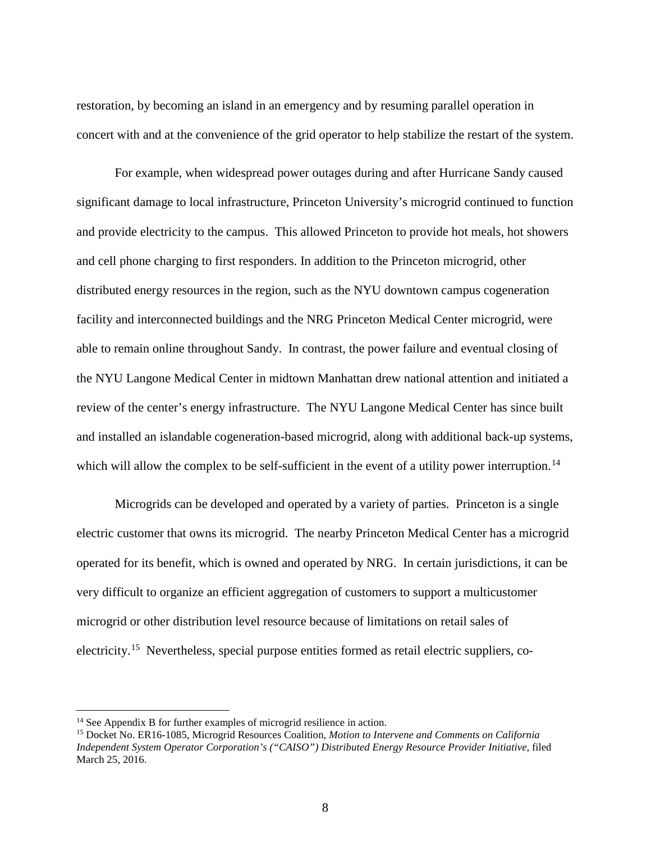restoration, by becoming an island in an emergency and by resuming parallel operation in concert with and at the convenience of the grid operator to help stabilize the restart of the system.

For example, when widespread power outages during and after Hurricane Sandy caused significant damage to local infrastructure, Princeton University's microgrid continued to function and provide electricity to the campus. This allowed Princeton to provide hot meals, hot showers and cell phone charging to first responders. In addition to the Princeton microgrid, other distributed energy resources in the region, such as the NYU downtown campus cogeneration facility and interconnected buildings and the NRG Princeton Medical Center microgrid, were able to remain online throughout Sandy. In contrast, the power failure and eventual closing of the NYU Langone Medical Center in midtown Manhattan drew national attention and initiated a review of the center's energy infrastructure. The NYU Langone Medical Center has since built and installed an islandable cogeneration-based microgrid, along with additional back-up systems, which will allow the complex to be self-sufficient in the event of a utility power interruption.<sup>[14](#page-8-0)</sup>

Microgrids can be developed and operated by a variety of parties. Princeton is a single electric customer that owns its microgrid. The nearby Princeton Medical Center has a microgrid operated for its benefit, which is owned and operated by NRG. In certain jurisdictions, it can be very difficult to organize an efficient aggregation of customers to support a multicustomer microgrid or other distribution level resource because of limitations on retail sales of electricity.<sup>[15](#page-8-1)</sup> Nevertheless, special purpose entities formed as retail electric suppliers, co-

<span id="page-8-1"></span><span id="page-8-0"></span><sup>&</sup>lt;sup>14</sup> See Appendix B for further examples of microgrid resilience in action.<br><sup>15</sup> Docket No. ER16-1085, Microgrid Resources Coalition, *Motion to Intervene and Comments on California Independent System Operator Corporation's ("CAISO") Distributed Energy Resource Provider Initiative*, filed March 25, 2016.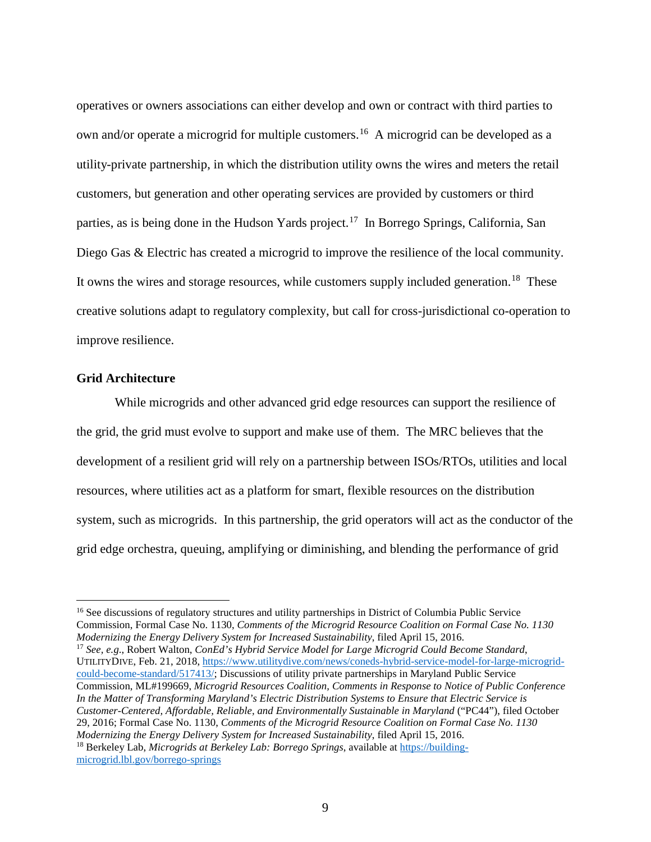operatives or owners associations can either develop and own or contract with third parties to own and/or operate a microgrid for multiple customers.<sup>16</sup> A microgrid can be developed as a utility-private partnership, in which the distribution utility owns the wires and meters the retail customers, but generation and other operating services are provided by customers or third parties, as is being done in the Hudson Yards project.<sup>17</sup> In Borrego Springs, California, San Diego Gas & Electric has created a microgrid to improve the resilience of the local community. It owns the wires and storage resources, while customers supply included generation.<sup>[18](#page-9-2)</sup> These creative solutions adapt to regulatory complexity, but call for cross-jurisdictional co-operation to improve resilience.

#### **Grid Architecture**

While microgrids and other advanced grid edge resources can support the resilience of the grid, the grid must evolve to support and make use of them. The MRC believes that the development of a resilient grid will rely on a partnership between ISOs/RTOs, utilities and local resources, where utilities act as a platform for smart, flexible resources on the distribution system, such as microgrids. In this partnership, the grid operators will act as the conductor of the grid edge orchestra, queuing, amplifying or diminishing, and blending the performance of grid

<span id="page-9-2"></span><span id="page-9-1"></span><sup>17</sup> See, e.g., Robert Walton, *ConEd's Hybrid Service Model for Large Microgrid Could Become Standard*, UTILITYDIVE, Feb. 21, 2018[, https://www.utilitydive.com/news/coneds-hybrid-service-model-for-large-microgrid](https://www.utilitydive.com/news/coneds-hybrid-service-model-for-large-microgrid-could-become-standard/517413/)[could-become-standard/517413/;](https://www.utilitydive.com/news/coneds-hybrid-service-model-for-large-microgrid-could-become-standard/517413/) Discussions of utility private partnerships in Maryland Public Service Commission, ML#199669, *Microgrid Resources Coalition, Comments in Response to Notice of Public Conference In the Matter of Transforming Maryland's Electric Distribution Systems to Ensure that Electric Service is Customer-Centered, Affordable, Reliable, and Environmentally Sustainable in Maryland* ("PC44"), filed October 29, 2016; Formal Case No. 1130, *Comments of the Microgrid Resource Coalition on Formal Case No. 1130 Modernizing the Energy Delivery System for Increased Sustainability*, filed April 15, 2016. <sup>18</sup> Berkeley Lab, *Microgrids at Berkeley Lab: Borrego Springs*, available at [https://building](https://building-microgrid.lbl.gov/borrego-springs)[microgrid.lbl.gov/borrego-springs](https://building-microgrid.lbl.gov/borrego-springs)

<span id="page-9-0"></span><sup>&</sup>lt;sup>16</sup> See discussions of regulatory structures and utility partnerships in District of Columbia Public Service Commission, Formal Case No. 1130, *Comments of the Microgrid Resource Coalition on Formal Case No. 1130*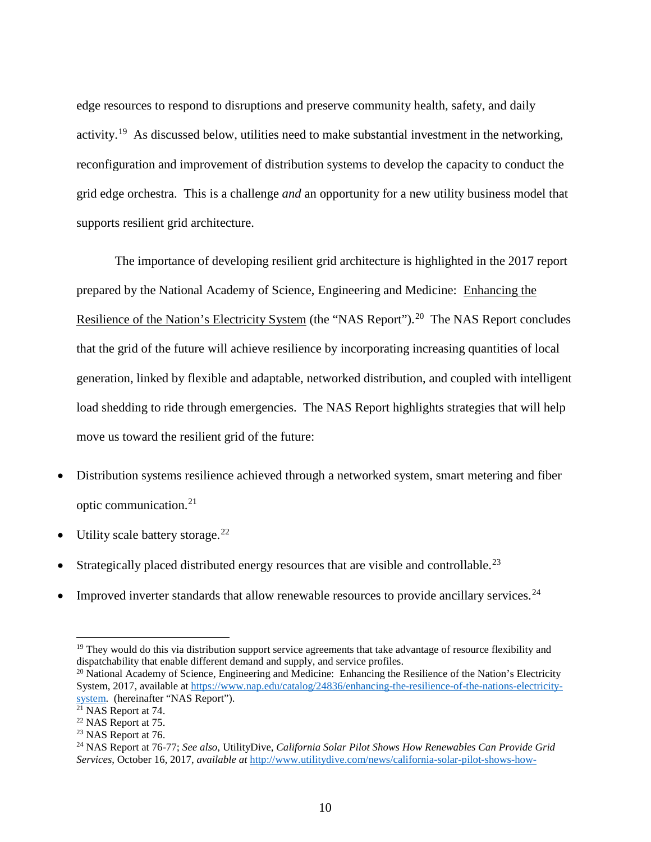edge resources to respond to disruptions and preserve community health, safety, and daily activity.<sup>19</sup> As discussed below, utilities need to make substantial investment in the networking, reconfiguration and improvement of distribution systems to develop the capacity to conduct the grid edge orchestra. This is a challenge *and* an opportunity for a new utility business model that supports resilient grid architecture.

The importance of developing resilient grid architecture is highlighted in the 2017 report prepared by the National Academy of Science, Engineering and Medicine: Enhancing the Resilience of the Nation's Electricity System (the "NAS Report").<sup>[20](#page-10-1)</sup> The NAS Report concludes that the grid of the future will achieve resilience by incorporating increasing quantities of local generation, linked by flexible and adaptable, networked distribution, and coupled with intelligent load shedding to ride through emergencies. The NAS Report highlights strategies that will help move us toward the resilient grid of the future:

- Distribution systems resilience achieved through a networked system, smart metering and fiber optic communication.[21](#page-10-2)
- Utility scale battery storage.<sup>[22](#page-10-3)</sup>
- Strategically placed distributed energy resources that are visible and controllable.<sup>[23](#page-10-4)</sup>
- Improved inverter standards that allow renewable resources to provide ancillary services.<sup>[24](#page-10-5)</sup>

<span id="page-10-0"></span> $19$  They would do this via distribution support service agreements that take advantage of resource flexibility and dispatchability that enable different demand and supply, and service profiles.

<span id="page-10-1"></span><sup>&</sup>lt;sup>20</sup> National Academy of Science, Engineering and Medicine: Enhancing the Resilience of the Nation's Electricity System, 2017, available at [https://www.nap.edu/catalog/24836/enhancing-the-resilience-of-the-nations-electricity](https://www.nap.edu/catalog/24836/enhancing-the-resilience-of-the-nations-electricity-system)[system.](https://www.nap.edu/catalog/24836/enhancing-the-resilience-of-the-nations-electricity-system) (hereinafter "NAS Report").<br><sup>21</sup> NAS Report at 74.

<span id="page-10-3"></span><span id="page-10-2"></span><sup>22</sup> NAS Report at 75.

<sup>&</sup>lt;sup>23</sup> NAS Report at 76.

<span id="page-10-5"></span><span id="page-10-4"></span><sup>24</sup> NAS Report at 76-77; *See also*, UtilityDive, *California Solar Pilot Shows How Renewables Can Provide Grid Services*, October 16, 2017, *available at* [http://www.utilitydive.com/news/california-solar-pilot-shows-how-](http://www.utilitydive.com/news/california-solar-pilot-shows-how-renewables-can-provide-grid-services/506762/)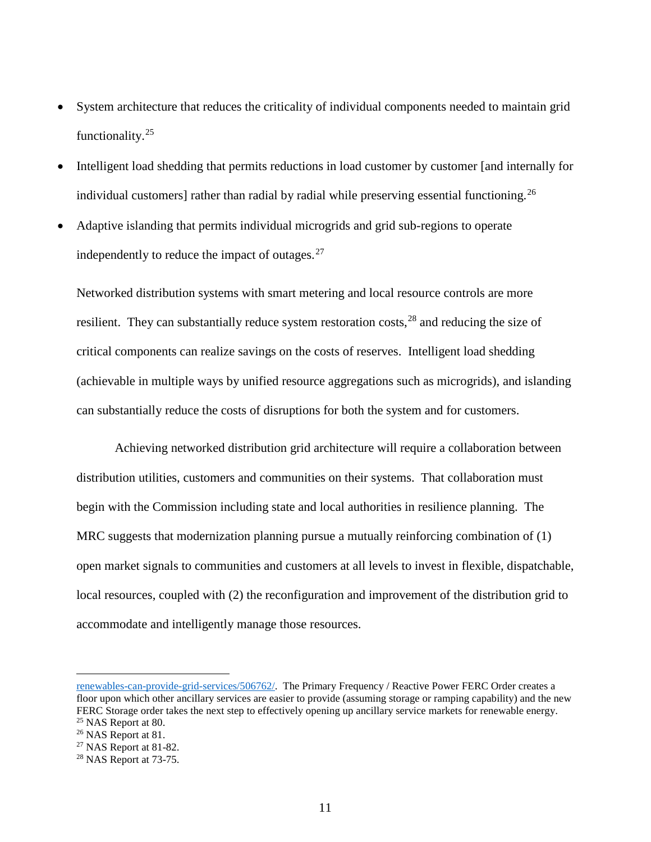- System architecture that reduces the criticality of individual components needed to maintain grid functionality.[25](#page-11-0)
- Intelligent load shedding that permits reductions in load customer by customer [and internally for individual customers] rather than radial by radial while preserving essential functioning.<sup>[26](#page-11-1)</sup>
- Adaptive islanding that permits individual microgrids and grid sub-regions to operate independently to reduce the impact of outages. $27$

Networked distribution systems with smart metering and local resource controls are more resilient. They can substantially reduce system restoration costs,  $^{28}$  $^{28}$  $^{28}$  and reducing the size of critical components can realize savings on the costs of reserves. Intelligent load shedding (achievable in multiple ways by unified resource aggregations such as microgrids), and islanding can substantially reduce the costs of disruptions for both the system and for customers.

Achieving networked distribution grid architecture will require a collaboration between distribution utilities, customers and communities on their systems. That collaboration must begin with the Commission including state and local authorities in resilience planning. The MRC suggests that modernization planning pursue a mutually reinforcing combination of (1) open market signals to communities and customers at all levels to invest in flexible, dispatchable, local resources, coupled with (2) the reconfiguration and improvement of the distribution grid to accommodate and intelligently manage those resources.

 $\overline{a}$ 

[renewables-can-provide-grid-services/506762/.](http://www.utilitydive.com/news/california-solar-pilot-shows-how-renewables-can-provide-grid-services/506762/) The Primary Frequency / Reactive Power FERC Order creates a floor upon which other ancillary services are easier to provide (assuming storage or ramping capability) and the new FERC Storage order takes the next step to effectively opening up ancillary service markets for renewable energy.  $25$  NAS Report at 80.

<span id="page-11-1"></span><span id="page-11-0"></span><sup>&</sup>lt;sup>26</sup> NAS Report at 81.

<span id="page-11-2"></span> $27$  NAS Report at 81-82.

<span id="page-11-3"></span> $28$  NAS Report at 73-75.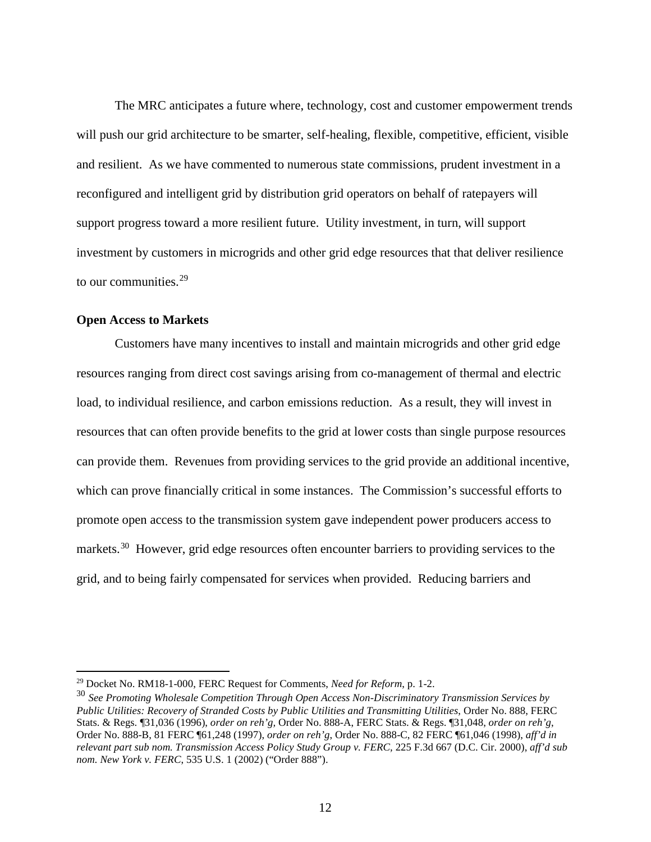The MRC anticipates a future where, technology, cost and customer empowerment trends will push our grid architecture to be smarter, self-healing, flexible, competitive, efficient, visible and resilient. As we have commented to numerous state commissions, prudent investment in a reconfigured and intelligent grid by distribution grid operators on behalf of ratepayers will support progress toward a more resilient future. Utility investment, in turn, will support investment by customers in microgrids and other grid edge resources that that deliver resilience to our communities.[29](#page-12-0)

#### **Open Access to Markets**

Customers have many incentives to install and maintain microgrids and other grid edge resources ranging from direct cost savings arising from co-management of thermal and electric load, to individual resilience, and carbon emissions reduction. As a result, they will invest in resources that can often provide benefits to the grid at lower costs than single purpose resources can provide them. Revenues from providing services to the grid provide an additional incentive, which can prove financially critical in some instances. The Commission's successful efforts to promote open access to the transmission system gave independent power producers access to markets.<sup>30</sup> However, grid edge resources often encounter barriers to providing services to the grid, and to being fairly compensated for services when provided. Reducing barriers and

<span id="page-12-0"></span> <sup>29</sup> Docket No. RM18-1-000, FERC Request for Comments, *Need for Reform*, p. 1-2.

<span id="page-12-1"></span><sup>30</sup> *See Promoting Wholesale Competition Through Open Access Non-Discriminatory Transmission Services by Public Utilities: Recovery of Stranded Costs by Public Utilities and Transmitting Utilities*, Order No. 888, FERC Stats. & Regs. ¶31,036 (1996), *order on reh'g,* Order No. 888-A, FERC Stats. & Regs. ¶31,048, *order on reh'g*, Order No. 888-B, 81 FERC ¶61,248 (1997), *order on reh'g*, Order No. 888-C, 82 FERC ¶61,046 (1998), *aff'd in relevant part sub nom. Transmission Access Policy Study Group v. FERC,* 225 F.3d 667 (D.C. Cir. 2000), *aff'd sub nom. New York v. FERC*, 535 U.S. 1 (2002) ("Order 888").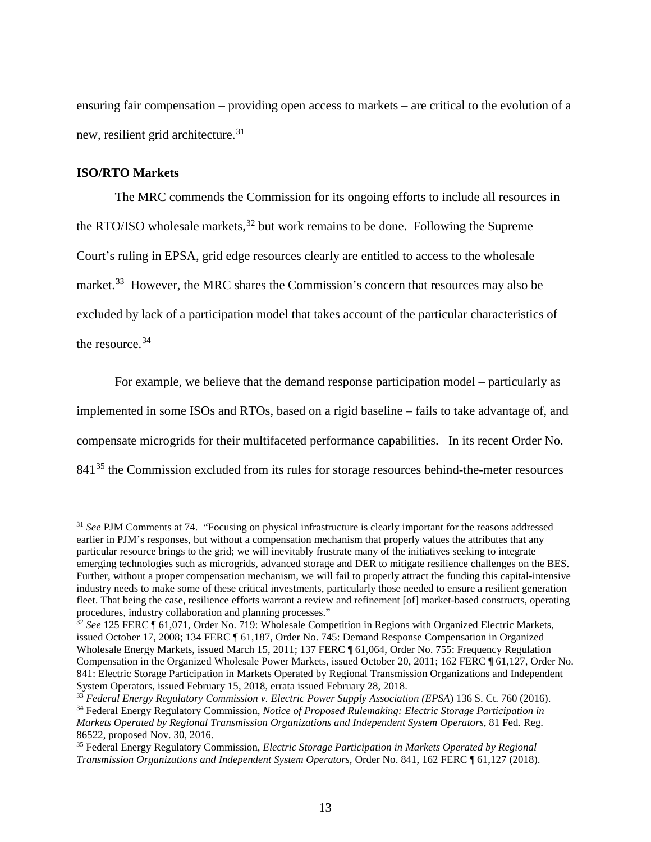ensuring fair compensation – providing open access to markets – are critical to the evolution of a new, resilient grid architecture.<sup>[31](#page-13-0)</sup>

## **ISO/RTO Markets**

The MRC commends the Commission for its ongoing efforts to include all resources in the RTO/ISO wholesale markets,  $32$  but work remains to be done. Following the Supreme Court's ruling in EPSA, grid edge resources clearly are entitled to access to the wholesale market.<sup>[33](#page-13-2)</sup> However, the MRC shares the Commission's concern that resources may also be excluded by lack of a participation model that takes account of the particular characteristics of the resource. [34](#page-13-3) 

For example, we believe that the demand response participation model – particularly as implemented in some ISOs and RTOs, based on a rigid baseline – fails to take advantage of, and compensate microgrids for their multifaceted performance capabilities. In its recent Order No. 841<sup>[35](#page-13-4)</sup> the Commission excluded from its rules for storage resources behind-the-meter resources

<span id="page-13-0"></span><sup>&</sup>lt;sup>31</sup> *See* PJM Comments at 74. "Focusing on physical infrastructure is clearly important for the reasons addressed earlier in PJM's responses, but without a compensation mechanism that properly values the attributes that any particular resource brings to the grid; we will inevitably frustrate many of the initiatives seeking to integrate emerging technologies such as microgrids, advanced storage and DER to mitigate resilience challenges on the BES. Further, without a proper compensation mechanism, we will fail to properly attract the funding this capital-intensive industry needs to make some of these critical investments, particularly those needed to ensure a resilient generation fleet. That being the case, resilience efforts warrant a review and refinement [of] market-based constructs, operating procedures, industry collaboration and planning processes."

<span id="page-13-1"></span><sup>&</sup>lt;sup>32</sup> See 125 FERC ¶ 61,071, Order No. 719: Wholesale Competition in Regions with Organized Electric Markets, issued October 17, 2008; 134 FERC ¶ 61,187, Order No. 745: Demand Response Compensation in Organized Wholesale Energy Markets, issued March 15, 2011; 137 FERC ¶ 61,064, Order No. 755: Frequency Regulation Compensation in the Organized Wholesale Power Markets, issued October 20, 2011; 162 FERC ¶ 61,127, Order No. 841: Electric Storage Participation in Markets Operated by Regional Transmission Organizations and Independent System Operators, issued February 15, 2018, errata issued February 28, 2018.<br><sup>33</sup> Federal Energy Regulatory Commission v. Electric Power Supply Association (EPSA) 136 S. Ct. 760 (2016).

<span id="page-13-3"></span><span id="page-13-2"></span><sup>&</sup>lt;sup>34</sup> Federal Energy Regulatory Commission, Notice of Proposed Rulemaking: Electric Storage Participation in *Markets Operated by Regional Transmission Organizations and Independent System Operators*, 81 Fed. Reg. 86522, proposed Nov. 30, 2016.

<span id="page-13-4"></span><sup>35</sup> Federal Energy Regulatory Commission, *Electric Storage Participation in Markets Operated by Regional Transmission Organizations and Independent System Operators*, Order No. 841, 162 FERC ¶ 61,127 (2018).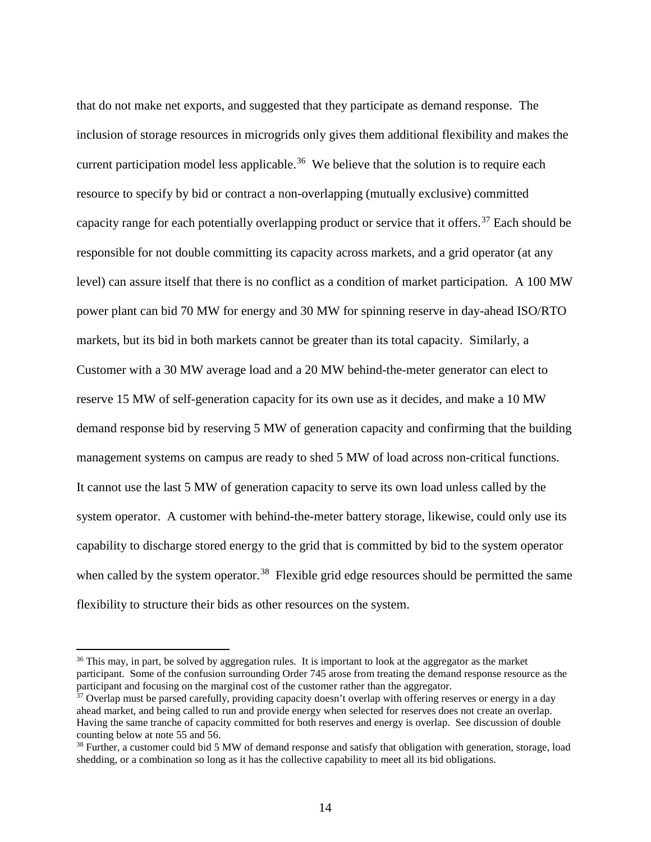that do not make net exports, and suggested that they participate as demand response. The inclusion of storage resources in microgrids only gives them additional flexibility and makes the current participation model less applicable.<sup>36</sup> We believe that the solution is to require each resource to specify by bid or contract a non-overlapping (mutually exclusive) committed capacity range for each potentially overlapping product or service that it offers.<sup>[37](#page-14-1)</sup> Each should be responsible for not double committing its capacity across markets, and a grid operator (at any level) can assure itself that there is no conflict as a condition of market participation. A 100 MW power plant can bid 70 MW for energy and 30 MW for spinning reserve in day-ahead ISO/RTO markets, but its bid in both markets cannot be greater than its total capacity. Similarly, a Customer with a 30 MW average load and a 20 MW behind-the-meter generator can elect to reserve 15 MW of self-generation capacity for its own use as it decides, and make a 10 MW demand response bid by reserving 5 MW of generation capacity and confirming that the building management systems on campus are ready to shed 5 MW of load across non-critical functions. It cannot use the last 5 MW of generation capacity to serve its own load unless called by the system operator. A customer with behind-the-meter battery storage, likewise, could only use its capability to discharge stored energy to the grid that is committed by bid to the system operator when called by the system operator.<sup>[38](#page-14-2)</sup> Flexible grid edge resources should be permitted the same flexibility to structure their bids as other resources on the system.

<span id="page-14-0"></span><sup>&</sup>lt;sup>36</sup> This may, in part, be solved by aggregation rules. It is important to look at the aggregator as the market participant. Some of the confusion surrounding Order 745 arose from treating the demand response resource as the participant and focusing on the marginal cost of the customer rather than the aggregator.

<span id="page-14-1"></span><sup>&</sup>lt;sup>37</sup> Overlap must be parsed carefully, providing capacity doesn't overlap with offering reserves or energy in a day ahead market, and being called to run and provide energy when selected for reserves does not create an overlap. Having the same tranche of capacity committed for both reserves and energy is overlap. See discussion of double counting below at note 55 and 56.

<span id="page-14-2"></span><sup>&</sup>lt;sup>38</sup> Further, a customer could bid 5 MW of demand response and satisfy that obligation with generation, storage, load shedding, or a combination so long as it has the collective capability to meet all its bid obligations.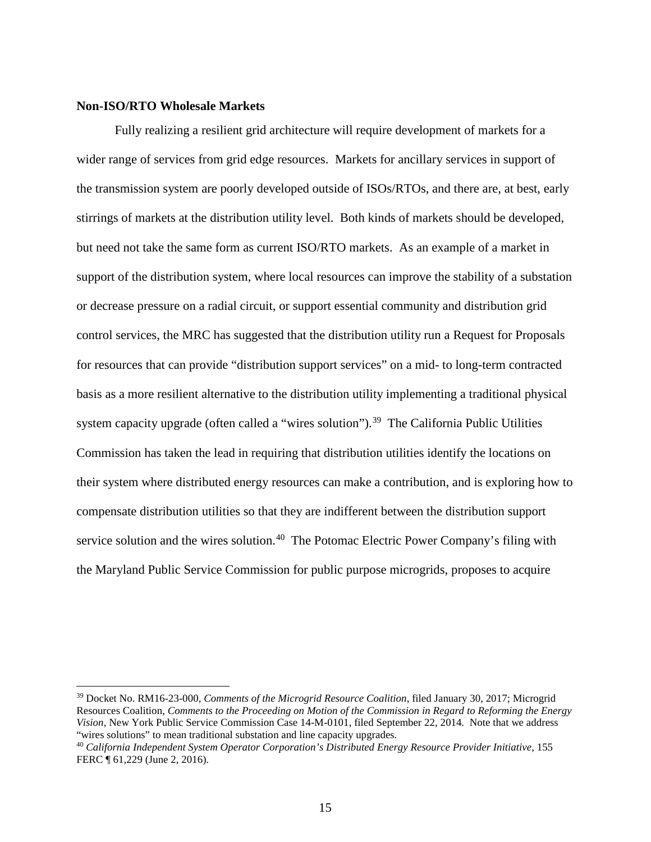## **Non-ISO/RTO Wholesale Markets**

Fully realizing a resilient grid architecture will require development of markets for a wider range of services from grid edge resources. Markets for ancillary services in support of the transmission system are poorly developed outside of ISOs/RTOs, and there are, at best, early stirrings of markets at the distribution utility level. Both kinds of markets should be developed, but need not take the same form as current ISO/RTO markets. As an example of a market in support of the distribution system, where local resources can improve the stability of a substation or decrease pressure on a radial circuit, or support essential community and distribution grid control services, the MRC has suggested that the distribution utility run a Request for Proposals for resources that can provide "distribution support services" on a mid- to long-term contracted basis as a more resilient alternative to the distribution utility implementing a traditional physical system capacity upgrade (often called a "wires solution").<sup>39</sup> The California Public Utilities Commission has taken the lead in requiring that distribution utilities identify the locations on their system where distributed energy resources can make a contribution, and is exploring how to compensate distribution utilities so that they are indifferent between the distribution support service solution and the wires solution.<sup>40</sup> The Potomac Electric Power Company's filing with the Maryland Public Service Commission for public purpose microgrids, proposes to acquire

<span id="page-15-0"></span> <sup>39</sup> Docket No. RM16-23-000, *Comments of the Microgrid Resource Coalition*, filed January 30, 2017; Microgrid Resources Coalition, *Comments to the Proceeding on Motion of the Commission in Regard to Reforming the Energy Vision*, New York Public Service Commission Case 14-M-0101, filed September 22, 2014. Note that we address "wires solutions" to mean traditional substation and line capacity upgrades. 40 *California Independent System Operator Corporation's Distributed Energy Resource Provider Initiative*, 155

<span id="page-15-1"></span>FERC ¶ 61,229 (June 2, 2016).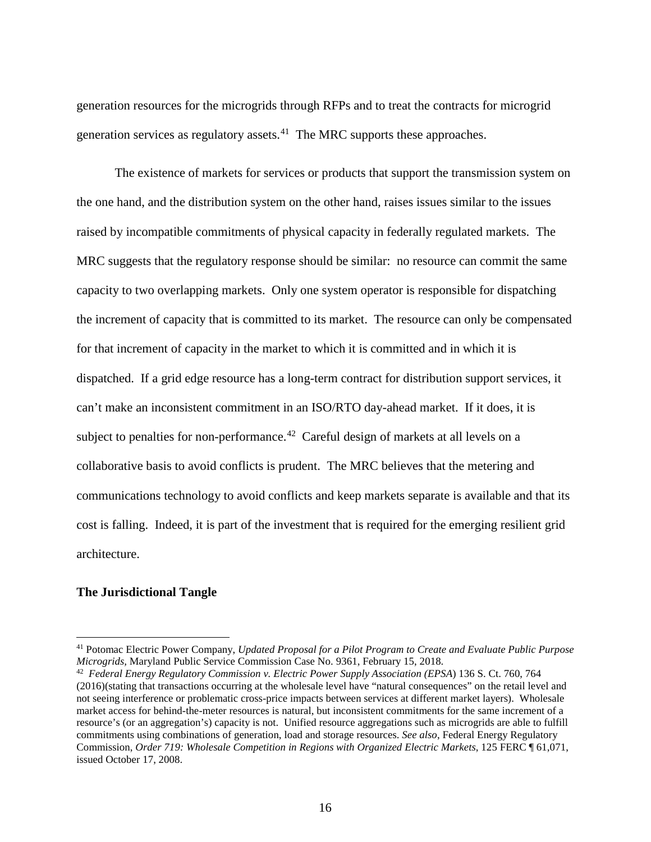generation resources for the microgrids through RFPs and to treat the contracts for microgrid generation services as regulatory assets. $41$  The MRC supports these approaches.

The existence of markets for services or products that support the transmission system on the one hand, and the distribution system on the other hand, raises issues similar to the issues raised by incompatible commitments of physical capacity in federally regulated markets. The MRC suggests that the regulatory response should be similar: no resource can commit the same capacity to two overlapping markets. Only one system operator is responsible for dispatching the increment of capacity that is committed to its market. The resource can only be compensated for that increment of capacity in the market to which it is committed and in which it is dispatched. If a grid edge resource has a long-term contract for distribution support services, it can't make an inconsistent commitment in an ISO/RTO day-ahead market. If it does, it is subject to penalties for non-performance.<sup>[42](#page-16-1)</sup> Careful design of markets at all levels on a collaborative basis to avoid conflicts is prudent. The MRC believes that the metering and communications technology to avoid conflicts and keep markets separate is available and that its cost is falling. Indeed, it is part of the investment that is required for the emerging resilient grid architecture.

### **The Jurisdictional Tangle**

<span id="page-16-0"></span><sup>&</sup>lt;sup>41</sup> Potomac Electric Power Company, *Updated Proposal for a Pilot Program to Create and Evaluate Public Purpose Microgrids, Maryland Public Service Commission Case No. 9361, February 15, 2018.* 

<span id="page-16-1"></span><sup>&</sup>lt;sup>42</sup> Federal Energy Regulatory Commission v. Electric Power Supply Association (EPSA) 136 S. Ct. 760, 764 (2016)(stating that transactions occurring at the wholesale level have "natural consequences" on the retail level and not seeing interference or problematic cross-price impacts between services at different market layers). Wholesale market access for behind-the-meter resources is natural, but inconsistent commitments for the same increment of a resource's (or an aggregation's) capacity is not. Unified resource aggregations such as microgrids are able to fulfill commitments using combinations of generation, load and storage resources. *See also*, Federal Energy Regulatory Commission, *Order 719: Wholesale Competition in Regions with Organized Electric Markets*, 125 FERC ¶ 61,071, issued October 17, 2008.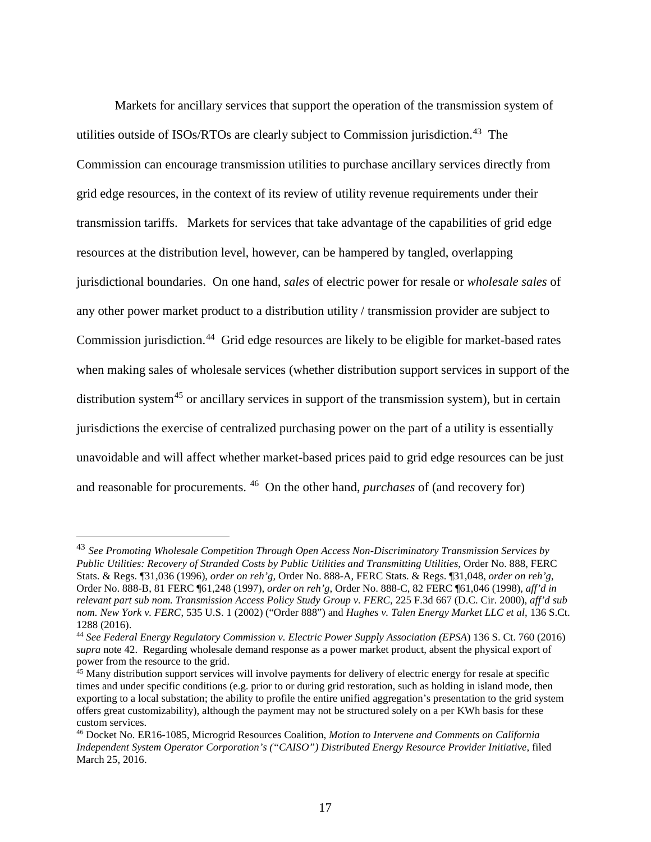Markets for ancillary services that support the operation of the transmission system of utilities outside of ISOs/RTOs are clearly subject to Commission jurisdiction.<sup>[43](#page-17-0)</sup> The Commission can encourage transmission utilities to purchase ancillary services directly from grid edge resources, in the context of its review of utility revenue requirements under their transmission tariffs. Markets for services that take advantage of the capabilities of grid edge resources at the distribution level, however, can be hampered by tangled, overlapping jurisdictional boundaries. On one hand, *sales* of electric power for resale or *wholesale sales* of any other power market product to a distribution utility / transmission provider are subject to Commission jurisdiction.<sup>[44](#page-17-1)</sup> Grid edge resources are likely to be eligible for market-based rates when making sales of wholesale services (whether distribution support services in support of the distribution system<sup>[45](#page-17-2)</sup> or ancillary services in support of the transmission system), but in certain jurisdictions the exercise of centralized purchasing power on the part of a utility is essentially unavoidable and will affect whether market-based prices paid to grid edge resources can be just and reasonable for procurements. [46](#page-17-3) On the other hand, *purchases* of (and recovery for)

<span id="page-17-0"></span> <sup>43</sup> *See Promoting Wholesale Competition Through Open Access Non-Discriminatory Transmission Services by Public Utilities: Recovery of Stranded Costs by Public Utilities and Transmitting Utilities*, Order No. 888, FERC Stats. & Regs. ¶31,036 (1996), *order on reh'g,* Order No. 888-A, FERC Stats. & Regs. ¶31,048, *order on reh'g*, Order No. 888-B, 81 FERC ¶61,248 (1997), *order on reh'g*, Order No. 888-C, 82 FERC ¶61,046 (1998), *aff'd in relevant part sub nom. Transmission Access Policy Study Group v. FERC,* 225 F.3d 667 (D.C. Cir. 2000), *aff'd sub nom. New York v. FERC*, 535 U.S. 1 (2002) ("Order 888") and *Hughes v. Talen Energy Market LLC et al*, 136 S.Ct. 1288 (2016).

<span id="page-17-1"></span><sup>44</sup> *See Federal Energy Regulatory Commission v. Electric Power Supply Association (EPSA*) 136 S. Ct. 760 (2016) *supra* note 42. Regarding wholesale demand response as a power market product, absent the physical export of power from the resource to the grid.

<span id="page-17-2"></span><sup>&</sup>lt;sup>45</sup> Many distribution support services will involve payments for delivery of electric energy for resale at specific times and under specific conditions (e.g. prior to or during grid restoration, such as holding in island mode, then exporting to a local substation; the ability to profile the entire unified aggregation's presentation to the grid system offers great customizability), although the payment may not be structured solely on a per KWh basis for these custom services.

<span id="page-17-3"></span><sup>46</sup> Docket No. ER16-1085, Microgrid Resources Coalition, *Motion to Intervene and Comments on California Independent System Operator Corporation's ("CAISO") Distributed Energy Resource Provider Initiative*, filed March 25, 2016.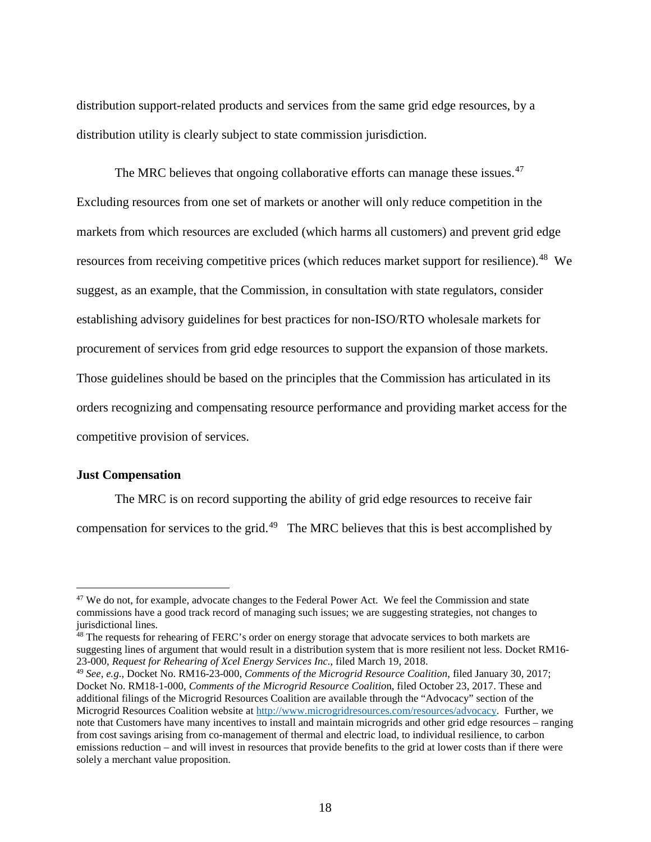distribution support-related products and services from the same grid edge resources, by a distribution utility is clearly subject to state commission jurisdiction.

The MRC believes that ongoing collaborative efforts can manage these issues.<sup>[47](#page-18-0)</sup> Excluding resources from one set of markets or another will only reduce competition in the markets from which resources are excluded (which harms all customers) and prevent grid edge resources from receiving competitive prices (which reduces market support for resilience).<sup>48</sup> We suggest, as an example, that the Commission, in consultation with state regulators, consider establishing advisory guidelines for best practices for non-ISO/RTO wholesale markets for procurement of services from grid edge resources to support the expansion of those markets. Those guidelines should be based on the principles that the Commission has articulated in its orders recognizing and compensating resource performance and providing market access for the competitive provision of services.

### **Just Compensation**

The MRC is on record supporting the ability of grid edge resources to receive fair compensation for services to the grid.[49](#page-18-2) The MRC believes that this is best accomplished by

<span id="page-18-1"></span><sup>48</sup> The requests for rehearing of FERC's order on energy storage that advocate services to both markets are suggesting lines of argument that would result in a distribution system that is more resilient not less. Docket RM16- 23-000, *Request for Rehearing of Xcel Energy Services Inc.*, filed March 19, 2018.

<span id="page-18-0"></span><sup>&</sup>lt;sup>47</sup> We do not, for example, advocate changes to the Federal Power Act. We feel the Commission and state commissions have a good track record of managing such issues; we are suggesting strategies, not changes to jurisdictional lines.

<span id="page-18-2"></span><sup>49</sup> *See, e.g*., Docket No. RM16-23-000, *Comments of the Microgrid Resource Coalition*, filed January 30, 2017; Docket No. RM18-1-000, *Comments of the Microgrid Resource Coalitio*n, filed October 23, 2017. These and additional filings of the Microgrid Resources Coalition are available through the "Advocacy" section of the Microgrid Resources Coalition website at [http://www.microgridresources.com/resources/advocacy.](http://www.microgridresources.com/resources/advocacy) Further, we note that Customers have many incentives to install and maintain microgrids and other grid edge resources – ranging from cost savings arising from co-management of thermal and electric load, to individual resilience, to carbon emissions reduction – and will invest in resources that provide benefits to the grid at lower costs than if there were solely a merchant value proposition.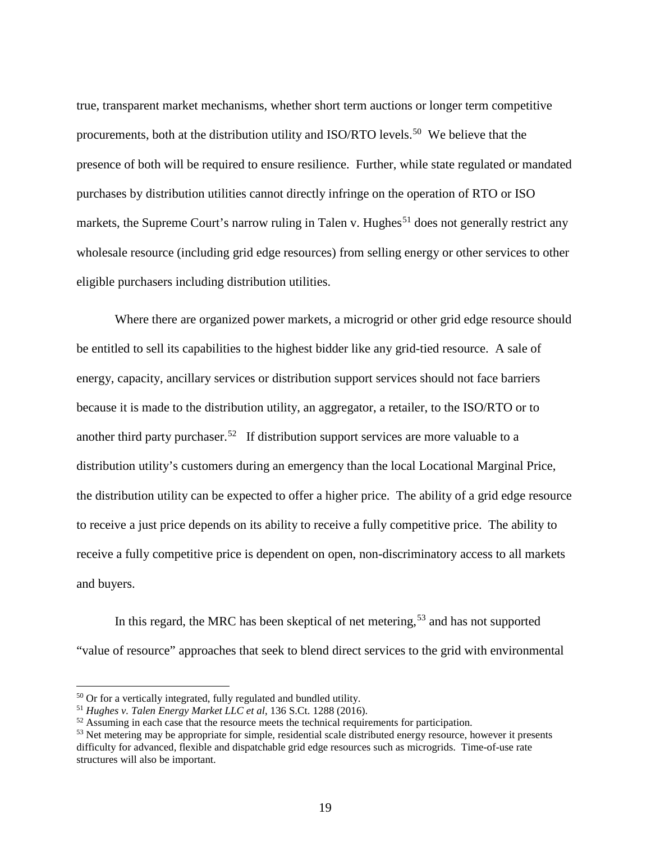true, transparent market mechanisms, whether short term auctions or longer term competitive procurements, both at the distribution utility and ISO/RTO levels.<sup>50</sup> We believe that the presence of both will be required to ensure resilience. Further, while state regulated or mandated purchases by distribution utilities cannot directly infringe on the operation of RTO or ISO markets, the Supreme Court's narrow ruling in Talen v. Hughes<sup>[51](#page-19-1)</sup> does not generally restrict any wholesale resource (including grid edge resources) from selling energy or other services to other eligible purchasers including distribution utilities.

Where there are organized power markets, a microgrid or other grid edge resource should be entitled to sell its capabilities to the highest bidder like any grid-tied resource. A sale of energy, capacity, ancillary services or distribution support services should not face barriers because it is made to the distribution utility, an aggregator, a retailer, to the ISO/RTO or to another third party purchaser.<sup>52</sup> If distribution support services are more valuable to a distribution utility's customers during an emergency than the local Locational Marginal Price, the distribution utility can be expected to offer a higher price. The ability of a grid edge resource to receive a just price depends on its ability to receive a fully competitive price. The ability to receive a fully competitive price is dependent on open, non-discriminatory access to all markets and buyers.

In this regard, the MRC has been skeptical of net metering,  $53$  and has not supported "value of resource" approaches that seek to blend direct services to the grid with environmental

<span id="page-19-0"></span><sup>50</sup> Or for a vertically integrated, fully regulated and bundled utility. 51 *Hughes v. Talen Energy Market LLC et al*, 136 S.Ct. 1288 (2016).

<span id="page-19-1"></span>

<span id="page-19-2"></span> $52$  Assuming in each case that the resource meets the technical requirements for participation.

<span id="page-19-3"></span><sup>&</sup>lt;sup>53</sup> Net metering may be appropriate for simple, residential scale distributed energy resource, however it presents difficulty for advanced, flexible and dispatchable grid edge resources such as microgrids. Time-of-use rate structures will also be important.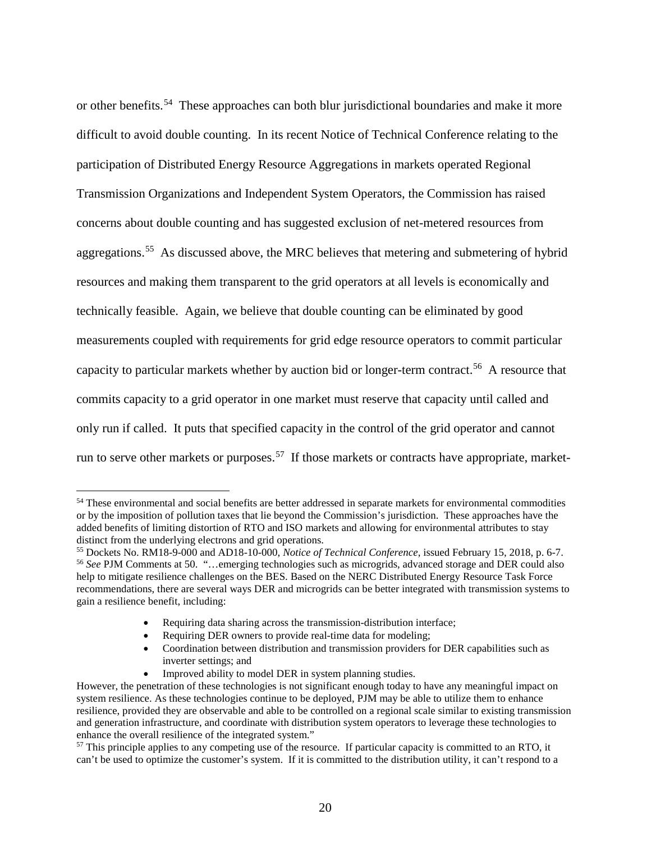or other benefits.<sup>[54](#page-20-0)</sup> These approaches can both blur jurisdictional boundaries and make it more difficult to avoid double counting. In its recent Notice of Technical Conference relating to the participation of Distributed Energy Resource Aggregations in markets operated Regional Transmission Organizations and Independent System Operators, the Commission has raised concerns about double counting and has suggested exclusion of net-metered resources from aggregations.<sup>55</sup> As discussed above, the MRC believes that metering and submetering of hybrid resources and making them transparent to the grid operators at all levels is economically and technically feasible. Again, we believe that double counting can be eliminated by good measurements coupled with requirements for grid edge resource operators to commit particular capacity to particular markets whether by auction bid or longer-term contract.[56](#page-20-2) A resource that commits capacity to a grid operator in one market must reserve that capacity until called and only run if called. It puts that specified capacity in the control of the grid operator and cannot run to serve other markets or purposes.<sup>57</sup> If those markets or contracts have appropriate, market-

- Requiring data sharing across the transmission-distribution interface;
- Requiring DER owners to provide real-time data for modeling;
- Coordination between distribution and transmission providers for DER capabilities such as inverter settings; and
- Improved ability to model DER in system planning studies.

<span id="page-20-0"></span><sup>&</sup>lt;sup>54</sup> These environmental and social benefits are better addressed in separate markets for environmental commodities or by the imposition of pollution taxes that lie beyond the Commission's jurisdiction. These approaches have the added benefits of limiting distortion of RTO and ISO markets and allowing for environmental attributes to stay<br>distinct from the underlying electrons and grid operations.

<span id="page-20-2"></span><span id="page-20-1"></span><sup>&</sup>lt;sup>55</sup> Dockets No. RM18-9-000 and AD18-10-000, *Notice of Technical Conference*, issued February 15, 2018, p. 6-7. <sup>56</sup> *See* PJM Comments at 50. "…emerging technologies such as microgrids, advanced storage and DER could also help to mitigate resilience challenges on the BES. Based on the NERC Distributed Energy Resource Task Force recommendations, there are several ways DER and microgrids can be better integrated with transmission systems to gain a resilience benefit, including:

However, the penetration of these technologies is not significant enough today to have any meaningful impact on system resilience. As these technologies continue to be deployed, PJM may be able to utilize them to enhance resilience, provided they are observable and able to be controlled on a regional scale similar to existing transmission and generation infrastructure, and coordinate with distribution system operators to leverage these technologies to enhance the overall resilience of the integrated system."

<span id="page-20-3"></span><sup>&</sup>lt;sup>57</sup> This principle applies to any competing use of the resource. If particular capacity is committed to an RTO, it can't be used to optimize the customer's system. If it is committed to the distribution utility, it can't respond to a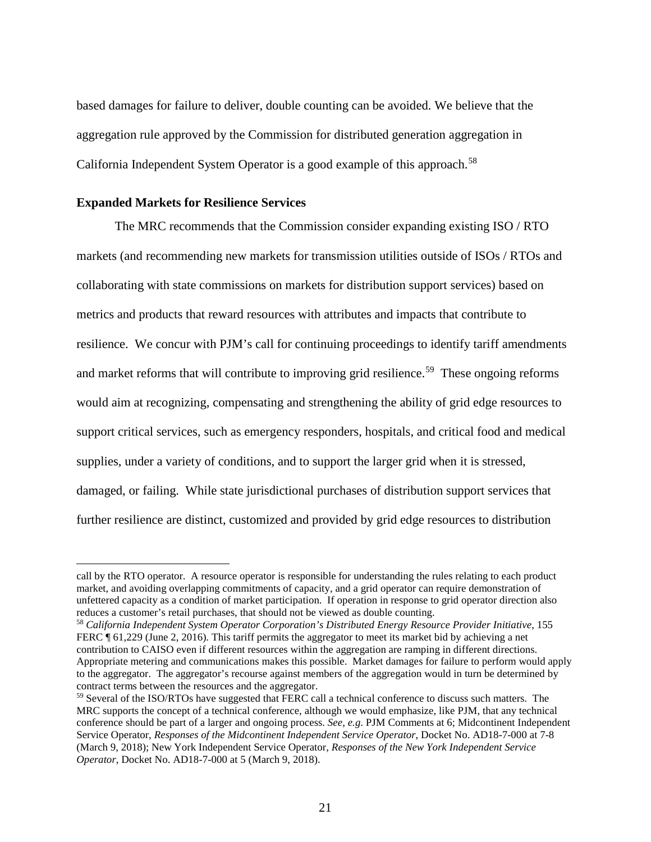based damages for failure to deliver, double counting can be avoided. We believe that the aggregation rule approved by the Commission for distributed generation aggregation in California Independent System Operator is a good example of this approach.<sup>[58](#page-21-0)</sup>

### **Expanded Markets for Resilience Services**

 $\overline{a}$ 

The MRC recommends that the Commission consider expanding existing ISO / RTO markets (and recommending new markets for transmission utilities outside of ISOs / RTOs and collaborating with state commissions on markets for distribution support services) based on metrics and products that reward resources with attributes and impacts that contribute to resilience. We concur with PJM's call for continuing proceedings to identify tariff amendments and market reforms that will contribute to improving grid resilience.<sup>[59](#page-21-1)</sup> These ongoing reforms would aim at recognizing, compensating and strengthening the ability of grid edge resources to support critical services, such as emergency responders, hospitals, and critical food and medical supplies, under a variety of conditions, and to support the larger grid when it is stressed, damaged, or failing. While state jurisdictional purchases of distribution support services that further resilience are distinct, customized and provided by grid edge resources to distribution

call by the RTO operator. A resource operator is responsible for understanding the rules relating to each product market, and avoiding overlapping commitments of capacity, and a grid operator can require demonstration of unfettered capacity as a condition of market participation. If operation in response to grid operator direction also reduces a customer's retail purchases, that should not be viewed as double counting.

<span id="page-21-0"></span><sup>58</sup> *California Independent System Operator Corporation's Distributed Energy Resource Provider Initiative*, 155 FERC ¶ 61,229 (June 2, 2016). This tariff permits the aggregator to meet its market bid by achieving a net contribution to CAISO even if different resources within the aggregation are ramping in different directions. Appropriate metering and communications makes this possible. Market damages for failure to perform would apply to the aggregator. The aggregator's recourse against members of the aggregation would in turn be determined by contract terms between the resources and the aggregator.

<span id="page-21-1"></span><sup>59</sup> Several of the ISO/RTOs have suggested that FERC call a technical conference to discuss such matters. The MRC supports the concept of a technical conference, although we would emphasize, like PJM, that any technical conference should be part of a larger and ongoing process. *See, e.g*. PJM Comments at 6; Midcontinent Independent Service Operator*, Responses of the Midcontinent Independent Service Operator*, Docket No. AD18-7-000 at 7-8 (March 9, 2018); New York Independent Service Operator, *Responses of the New York Independent Service Operator*, Docket No. AD18-7-000 at 5 (March 9, 2018).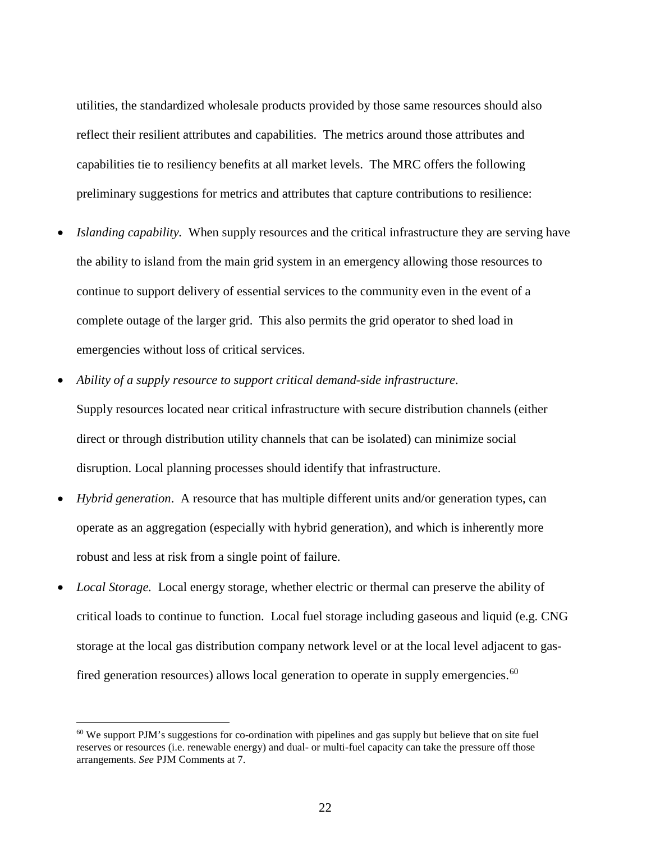utilities, the standardized wholesale products provided by those same resources should also reflect their resilient attributes and capabilities. The metrics around those attributes and capabilities tie to resiliency benefits at all market levels. The MRC offers the following preliminary suggestions for metrics and attributes that capture contributions to resilience:

- *Islanding capability.* When supply resources and the critical infrastructure they are serving have the ability to island from the main grid system in an emergency allowing those resources to continue to support delivery of essential services to the community even in the event of a complete outage of the larger grid. This also permits the grid operator to shed load in emergencies without loss of critical services.
- *Ability of a supply resource to support critical demand-side infrastructure*. Supply resources located near critical infrastructure with secure distribution channels (either direct or through distribution utility channels that can be isolated) can minimize social disruption. Local planning processes should identify that infrastructure.
- *Hybrid generation*. A resource that has multiple different units and/or generation types, can operate as an aggregation (especially with hybrid generation), and which is inherently more robust and less at risk from a single point of failure.
- *Local Storage.* Local energy storage, whether electric or thermal can preserve the ability of critical loads to continue to function. Local fuel storage including gaseous and liquid (e.g. CNG storage at the local gas distribution company network level or at the local level adjacent to gas-fired generation resources) allows local generation to operate in supply emergencies.<sup>[60](#page-22-0)</sup>

<span id="page-22-0"></span><sup>&</sup>lt;sup>60</sup> We support PJM's suggestions for co-ordination with pipelines and gas supply but believe that on site fuel reserves or resources (i.e. renewable energy) and dual- or multi-fuel capacity can take the pressure off those arrangements. *See* PJM Comments at 7.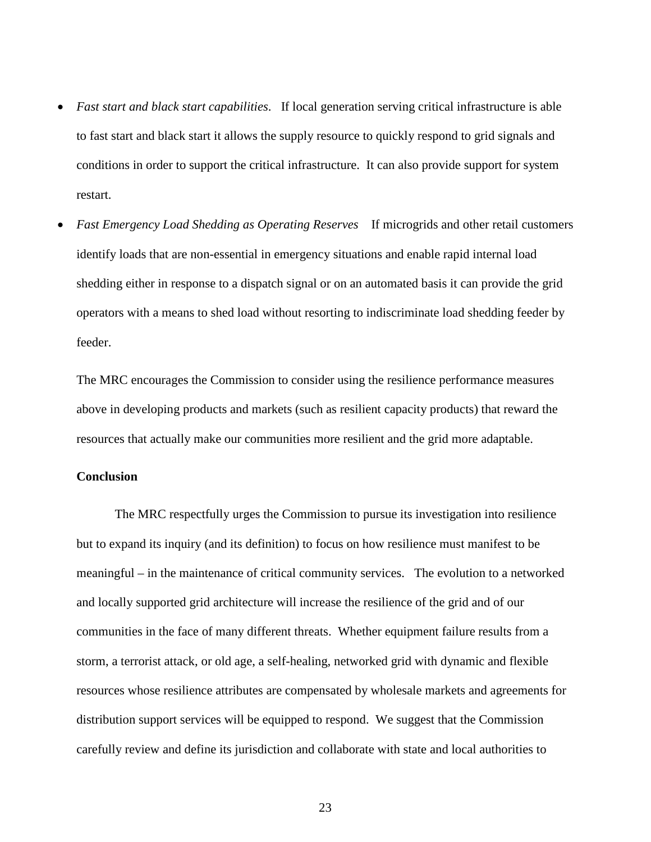- *Fast start and black start capabilities*. If local generation serving critical infrastructure is able to fast start and black start it allows the supply resource to quickly respond to grid signals and conditions in order to support the critical infrastructure. It can also provide support for system restart.
- *Fast Emergency Load Shedding as Operating Reserves* If microgrids and other retail customers identify loads that are non-essential in emergency situations and enable rapid internal load shedding either in response to a dispatch signal or on an automated basis it can provide the grid operators with a means to shed load without resorting to indiscriminate load shedding feeder by feeder.

The MRC encourages the Commission to consider using the resilience performance measures above in developing products and markets (such as resilient capacity products) that reward the resources that actually make our communities more resilient and the grid more adaptable.

## **Conclusion**

The MRC respectfully urges the Commission to pursue its investigation into resilience but to expand its inquiry (and its definition) to focus on how resilience must manifest to be meaningful – in the maintenance of critical community services. The evolution to a networked and locally supported grid architecture will increase the resilience of the grid and of our communities in the face of many different threats. Whether equipment failure results from a storm, a terrorist attack, or old age, a self-healing, networked grid with dynamic and flexible resources whose resilience attributes are compensated by wholesale markets and agreements for distribution support services will be equipped to respond. We suggest that the Commission carefully review and define its jurisdiction and collaborate with state and local authorities to

23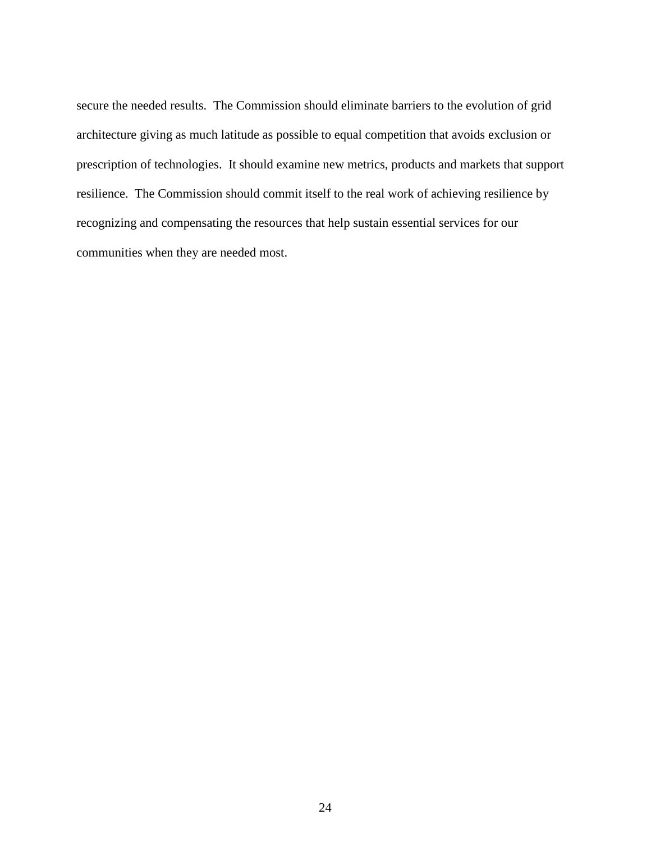secure the needed results. The Commission should eliminate barriers to the evolution of grid architecture giving as much latitude as possible to equal competition that avoids exclusion or prescription of technologies. It should examine new metrics, products and markets that support resilience. The Commission should commit itself to the real work of achieving resilience by recognizing and compensating the resources that help sustain essential services for our communities when they are needed most.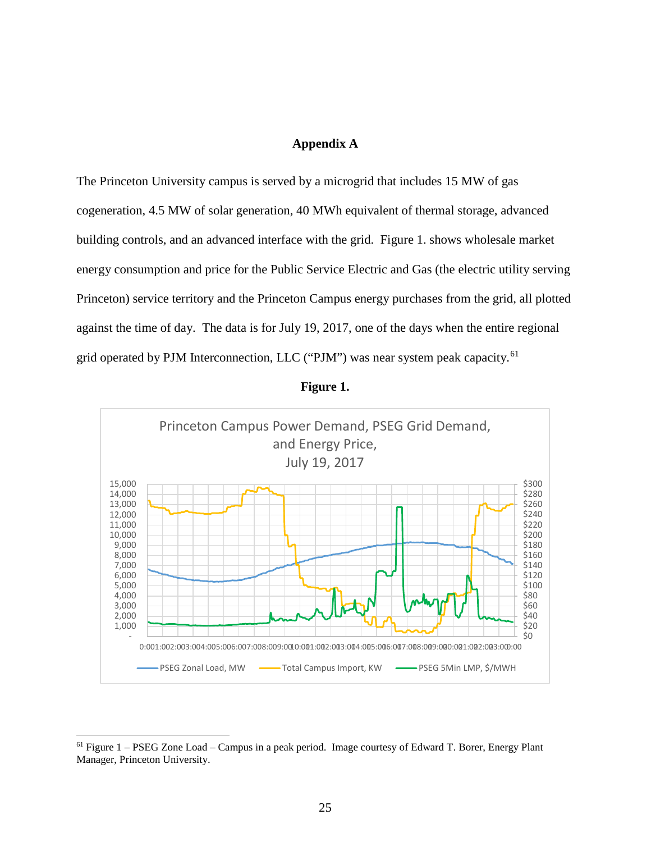## **Appendix A**

The Princeton University campus is served by a microgrid that includes 15 MW of gas cogeneration, 4.5 MW of solar generation, 40 MWh equivalent of thermal storage, advanced building controls, and an advanced interface with the grid. Figure 1. shows wholesale market energy consumption and price for the Public Service Electric and Gas (the electric utility serving Princeton) service territory and the Princeton Campus energy purchases from the grid, all plotted against the time of day. The data is for July 19, 2017, one of the days when the entire regional grid operated by PJM Interconnection, LLC ("PJM") was near system peak capacity.<sup>[61](#page-25-0)</sup>





<span id="page-25-0"></span> $<sup>61</sup>$  Figure 1 – PSEG Zone Load – Campus in a peak period. Image courtesy of Edward T. Borer, Energy Plant</sup> Manager, Princeton University.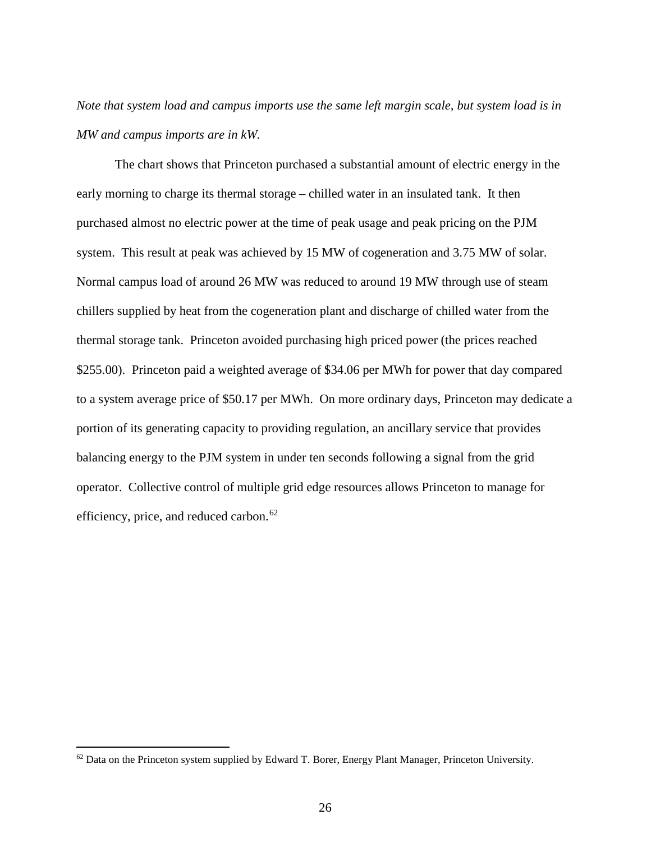## *Note that system load and campus imports use the same left margin scale, but system load is in MW and campus imports are in kW.*

The chart shows that Princeton purchased a substantial amount of electric energy in the early morning to charge its thermal storage – chilled water in an insulated tank. It then purchased almost no electric power at the time of peak usage and peak pricing on the PJM system. This result at peak was achieved by 15 MW of cogeneration and 3.75 MW of solar. Normal campus load of around 26 MW was reduced to around 19 MW through use of steam chillers supplied by heat from the cogeneration plant and discharge of chilled water from the thermal storage tank. Princeton avoided purchasing high priced power (the prices reached \$255.00). Princeton paid a weighted average of \$34.06 per MWh for power that day compared to a system average price of \$50.17 per MWh. On more ordinary days, Princeton may dedicate a portion of its generating capacity to providing regulation, an ancillary service that provides balancing energy to the PJM system in under ten seconds following a signal from the grid operator. Collective control of multiple grid edge resources allows Princeton to manage for efficiency, price, and reduced carbon. $62$ 

<span id="page-26-0"></span> $62$  Data on the Princeton system supplied by Edward T. Borer, Energy Plant Manager, Princeton University.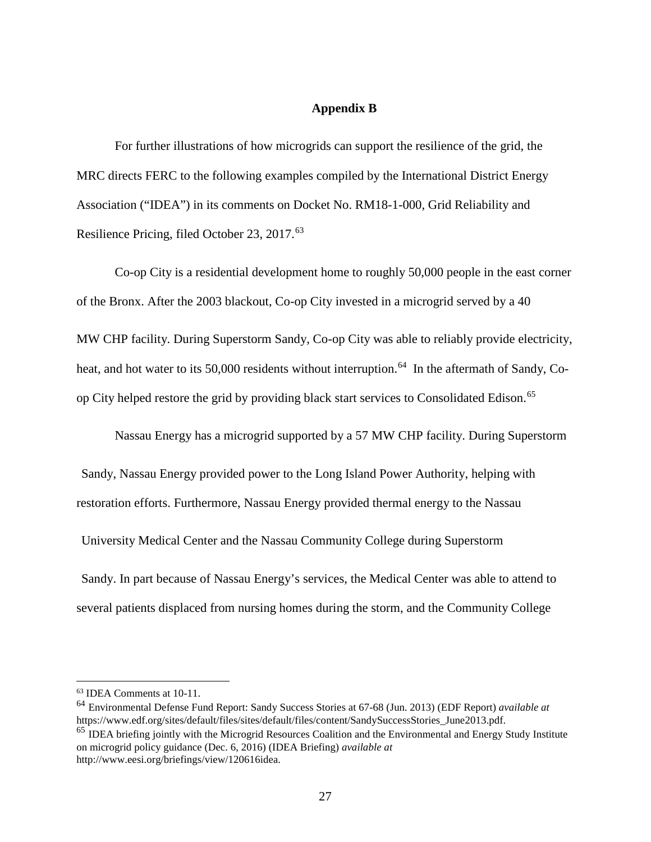## **Appendix B**

For further illustrations of how microgrids can support the resilience of the grid, the MRC directs FERC to the following examples compiled by the International District Energy Association ("IDEA") in its comments on Docket No. RM18-1-000, Grid Reliability and Resilience Pricing, filed October 23, 2017. [63](#page-27-0)

Co-op City is a residential development home to roughly 50,000 people in the east corner of the Bronx. After the 2003 blackout, Co-op City invested in a microgrid served by a 40 MW CHP facility. During Superstorm Sandy, Co-op City was able to reliably provide electricity, heat, and hot water to its 50,000 residents without interruption.<sup>64</sup> In the aftermath of Sandy, Coop City helped restore the grid by providing black start services to Consolidated Edison.[65](#page-27-2)

Nassau Energy has a microgrid supported by a 57 MW CHP facility. During Superstorm

Sandy, Nassau Energy provided power to the Long Island Power Authority, helping with

restoration efforts. Furthermore, Nassau Energy provided thermal energy to the Nassau

University Medical Center and the Nassau Community College during Superstorm

Sandy. In part because of Nassau Energy's services, the Medical Center was able to attend to several patients displaced from nursing homes during the storm, and the Community College

<span id="page-27-2"></span><span id="page-27-1"></span><sup>64</sup> Environmental Defense Fund Report: Sandy Success Stories at 67-68 (Jun. 2013) (EDF Report) *available at* https://www.edf.org/sites/default/files/sites/default/files/content/SandySuccessStories\_June2013.pdf. <sup>65</sup> IDEA briefing jointly with the Microgrid Resources Coalition and the Environmental and Energy Study Institute on microgrid policy guidance (Dec. 6, 2016) (IDEA Briefing) *available at* http://www.eesi.org/briefings/view/120616idea.

<span id="page-27-0"></span> <sup>63</sup> IDEA Comments at 10-11.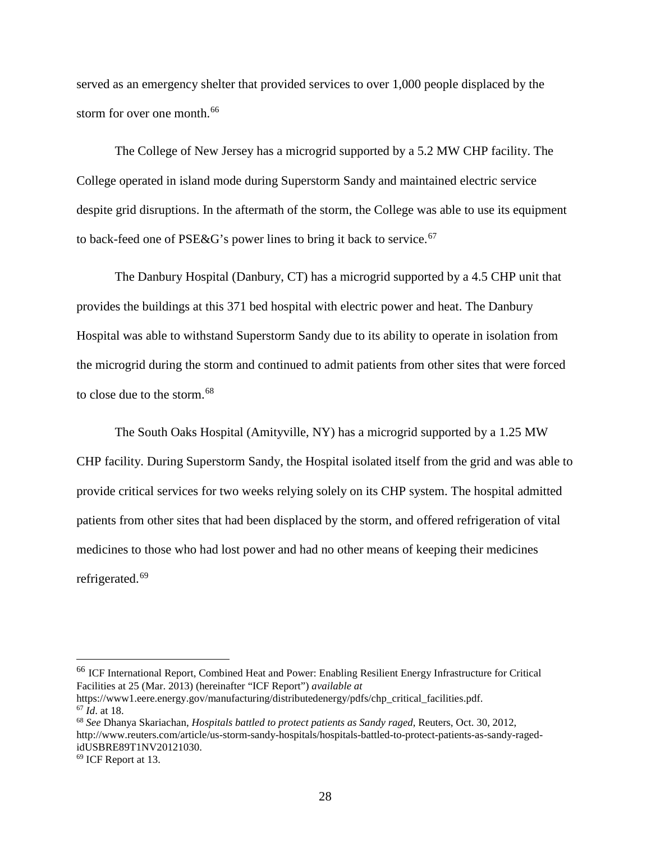served as an emergency shelter that provided services to over 1,000 people displaced by the storm for over one month.<sup>[66](#page-28-0)</sup>

The College of New Jersey has a microgrid supported by a 5.2 MW CHP facility. The College operated in island mode during Superstorm Sandy and maintained electric service despite grid disruptions. In the aftermath of the storm, the College was able to use its equipment to back-feed one of PSE&G's power lines to bring it back to service.<sup>[67](#page-28-1)</sup>

The Danbury Hospital (Danbury, CT) has a microgrid supported by a 4.5 CHP unit that provides the buildings at this 371 bed hospital with electric power and heat. The Danbury Hospital was able to withstand Superstorm Sandy due to its ability to operate in isolation from the microgrid during the storm and continued to admit patients from other sites that were forced to close due to the storm.[68](#page-28-2)

The South Oaks Hospital (Amityville, NY) has a microgrid supported by a 1.25 MW CHP facility. During Superstorm Sandy, the Hospital isolated itself from the grid and was able to provide critical services for two weeks relying solely on its CHP system. The hospital admitted patients from other sites that had been displaced by the storm, and offered refrigeration of vital medicines to those who had lost power and had no other means of keeping their medicines refrigerated.<sup>[69](#page-28-3)</sup>

<span id="page-28-0"></span> <sup>66</sup> ICF International Report, Combined Heat and Power: Enabling Resilient Energy Infrastructure for Critical Facilities at 25 (Mar. 2013) (hereinafter "ICF Report") *available at*

https://www1.eere.energy.gov/manufacturing/distributedenergy/pdfs/chp\_critical\_facilities.pdf. <sup>67</sup> *Id*. at 18.

<span id="page-28-2"></span><span id="page-28-1"></span><sup>68</sup> *See* Dhanya Skariachan, *Hospitals battled to protect patients as Sandy raged*, Reuters, Oct. 30, 2012, http://www.reuters.com/article/us-storm-sandy-hospitals/hospitals-battled-to-protect-patients-as-sandy-ragedidUSBRE89T1NV20121030.

<span id="page-28-3"></span><sup>69</sup> ICF Report at 13.